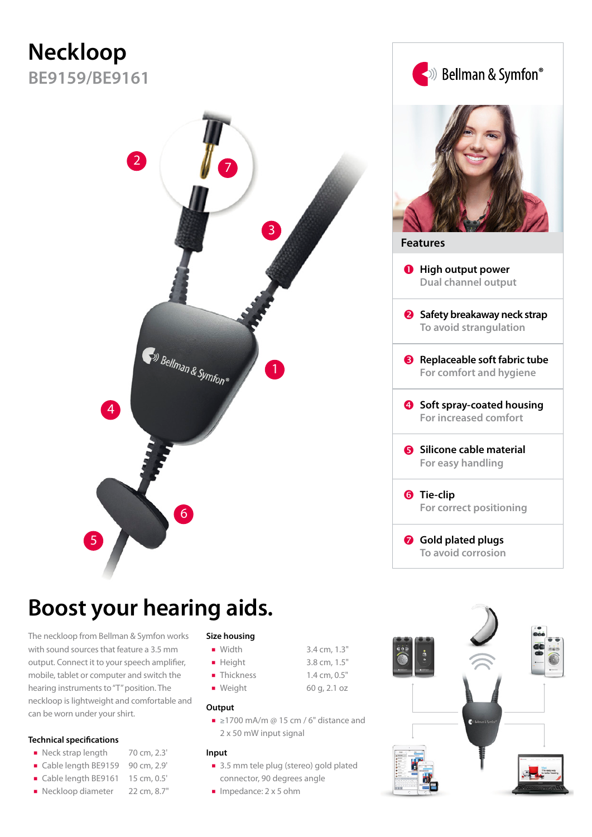# **Neckloop**

**BE9159/BE9161**



## **Boost your hearing aids.**

The neckloop from Bellman & Symfon works with sound sources that feature a 3.5 mm output. Connect it to your speech amplifier, mobile, tablet or computer and switch the hearing instruments to "T" position. The neckloop is lightweight and comfortable and can be worn under your shirt.

#### **Technical specifications**

- Neck strap length 70 cm, 2.3'
- Cable length BE9159 90 cm, 2.9'
- Cable length BE9161 15 cm, 0.5'
- Neckloop diameter 22 cm, 8.7"

### **Size housing**

- Width 3.4 cm, 1.3" ■ Height 3.8 cm, 1.5" Thickness 1.4 cm, 0.5"
- Weight 60 g, 2.1 oz
- **Output**
	- ≥1700 mA/m @ 15 cm / 6" distance and 2 x 50 mW input signal

#### **Input**

- 3.5 mm tele plug (stereo) gold plated connector, 90 degrees angle
- Impedance: 2 x 5 ohm

| (Bellman & Symfon®                                            |
|---------------------------------------------------------------|
| Features                                                      |
| <b>O</b> High output power<br><b>Dual channel output</b>      |
| 8 Safety breakaway neck strap<br>To avoid strangulation       |
| Replaceable soft fabric tube<br>❸.<br>For comfort and hygiene |
| Soft spray-coated housing<br>For increased comfort            |
| <b>6</b> Silicone cable material<br>For easy handling         |
| <b>6</b> Tie-clip<br>For correct positioning                  |
| <b>O</b> Gold plated plugs<br>To avoid corrosion              |